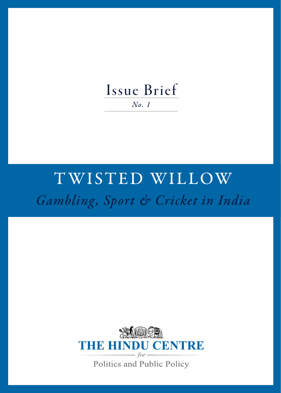## Issue Brief *No. 1*

# TWISTED WILLOW *Gambling, Sport & Cricket in India*

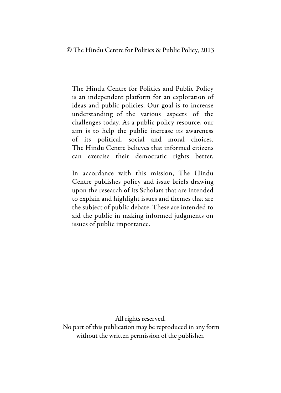© The Hindu Centre for Politics & Public Policy, 2013

The Hindu Centre for Politics and Public Policy is an independent platform for an exploration of ideas and public policies. Our goal is to increase understanding of the various aspects of the challenges today. As a public policy resource, our aim is to help the public increase its awareness of its political, social and moral choices. The Hindu Centre believes that informed citizens can exercise their democratic rights better.

In accordance with this mission, The Hindu Centre publishes policy and issue briefs drawing upon the research of its Scholars that are intended to explain and highlight issues and themes that are the subject of public debate. These are intended to aid the public in making informed judgments on issues of public importance.

All rights reserved.

 No part of this publication may be reproduced in any form without the written permission of the publisher.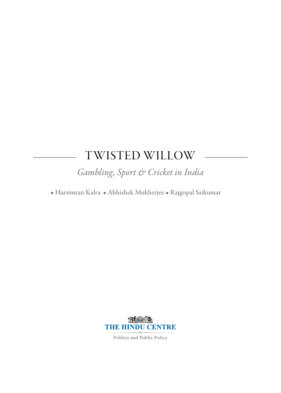## TWISTED WILLOW

*Gambling, Sport & Cricket in India*

• Harsimran Kalra • Abhishek Mukherjee • Rajgopal Saikumar



Politics and Public Policy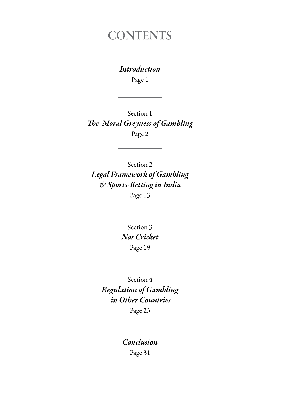## **CONTENTS**

#### *Introduction*

Page 1

Section 1 *The Moral Greyness of Gambling* Page 2

Section 2 *Legal Framework of Gambling & Sports-Betting in India* Page 13

> Section 3 *Not Cricket* Page 19

Section 4 *Regulation of Gambling in Other Countries* Page 23

> *Conclusion* Page 31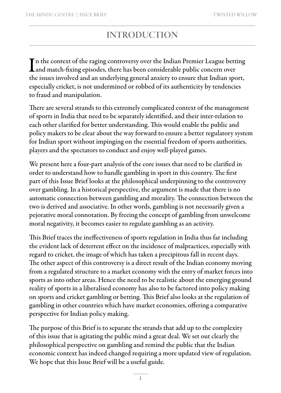## INTRODUCTION

In the context of the raging controversy over the Indian Premier League bett<br>and match-fixing episodes, there has been considerable public concern over n the context of the raging controversy over the Indian Premier League betting the issues involved and an underlying general anxiety to ensure that Indian sport, especially cricket, is not undermined or robbed of its authenticity by tendencies to fraud and manipulation.

There are several strands to this extremely complicated context of the management of sports in India that need to be separately identified, and their inter-relation to each other clarified for better understanding. This would enable the public and policy makers to be clear about the way forward to ensure a better regulatory system for Indian sport without impinging on the essential freedom of sports authorities, players and the spectators to conduct and enjoy well-played games.

We present here a four-part analysis of the core issues that need to be clarified in order to understand how to handle gambling in sport in this country. The first part of this Issue Brief looks at the philosophical underpinning to the controversy over gambling. In a historical perspective, the argument is made that there is no automatic connection between gambling and morality. The connection between the two is derived and associative. In other words, gambling is not necessarily given a pejorative moral connotation. By freeing the concept of gambling from unwelcome moral negativity, it becomes easier to regulate gambling as an activity.

This Brief traces the ineffectiveness of sports regulation in India thus far including the evident lack of deterrent effect on the incidence of malpractices, especially with regard to cricket, the image of which has taken a precipitous fall in recent days. The other aspect of this controversy is a direct result of the Indian economy moving from a regulated structure to a market economy with the entry of market forces into sports as into other areas. Hence the need to be realistic about the emerging ground reality of sports in a liberalised economy has also to be factored into policy making on sports and cricket gambling or betting. This Brief also looks at the regulation of gambling in other countries which have market economies, offering a comparative perspective for Indian policy making.

The purpose of this Brief is to separate the strands that add up to the complexity of this issue that is agitating the public mind a great deal. We set out clearly the philosophical perspective on gambling and remind the public that the Indian economic context has indeed changed requiring a more updated view of regulation. We hope that this Issue Brief will be a useful guide.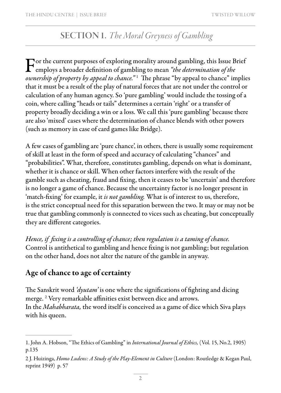### SECTION 1. *The Moral Greyness of Gambling*

For the current purposes of exploring morality around gambling, this Issue Brief<br>employs a broader definition of gambling to mean *"the determination of the*<br>distribution of an and "the determination of the <sup>2</sup> *ownership of property by appeal to chance."* <sup>1</sup> The phrase "by appeal to chance" implies that it must be a result of the play of natural forces that are not under the control or calculation of any human agency. So 'pure gambling' would include the tossing of a coin, where calling "heads or tails" determines a certain 'right' or a transfer of property broadly deciding a win or a loss. We call this 'pure gambling' because there are also 'mixed' cases where the determination of chance blends with other powers (such as memory in case of card games like Bridge).

A few cases of gambling are 'pure chance', in others, there is usually some requirement of skill at least in the form of speed and accuracy of calculating "chances" and "probabilities". What, therefore, constitutes gambling, depends on what is dominant, whether it is chance or skill. When other factors interfere with the result of the gamble such as cheating, fraud and fixing, then it ceases to be 'uncertain' and therefore is no longer a game of chance. Because the uncertainty factor is no longer present in 'match-fixing' for example, it *is not gambling.* What is of interest to us, therefore, is the strict conceptual need for this separation between the two. It may or may not be true that gambling commonly is connected to vices such as cheating, but conceptually they are different categories.

*Hence, if fixing is a controlling of chance; then regulation is a taming of chance.* Control is antithetical to gambling and hence fixing is not gambling; but regulation on the other hand, does not alter the nature of the gamble in anyway.

#### Age of chance to age of certainty

The Sanskrit word *'dyutam'* is one where the significations of fighting and dicing merge. 2 Very remarkable affinities exist between dice and arrows. In the *Mahabharata,* the word itself is conceived as a game of dice which Siva plays with his queen.

<sup>1.</sup> John A. Hobson, "The Ethics of Gambling" in *International Journal of Ethics,* (Vol. 15, No.2, 1905) p.135

<sup>2</sup> J. Huizinga, *Homo Ludens: A Study of the Play-Element in Culture* (London: Routledge & Kegan Paul, reprint 1949) p. 57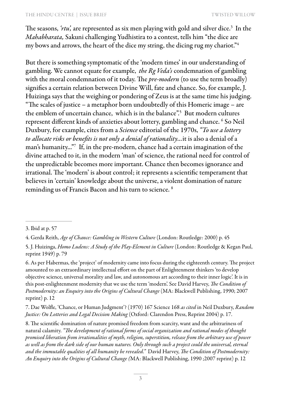The seasons, *'rtu',* are represented as six men playing with gold and silver dice.3 In the *Mahabharata,* Sakuni challenging Yudhistira to a contest, tells him "the dice are my bows and arrows, the heart of the dice my string, the dicing rug my chariot."4

But there is something symptomatic of the 'modern times' in our understanding of gambling. We cannot equate for example, *the Rg Veda's* condemnation of gambling with the moral condemnation of it today. The *pre-modern* (to use the term broadly) signifies a certain relation between Divine Will, fate and chance. So, for example, J. Huizinga says that the weighing or pondering of Zeus is at the same time his judging. "The scales of justice – a metaphor born undoubtedly of this Homeric image – are the emblem of uncertain chance, which is in the balance".5 But modern cultures represent different kinds of anxieties about lottery, gambling and chance. 6 So Neil Duxbury, for example, cites from a *Science* editorial of the 1970s, *"To use a lottery to allocate risks or benefits is not only a denial of rationality...*it is also a denial of a man's humanity..."7 If, in the pre-modern, chance had a certain imagination of the divine attached to it, in the modern 'man' of science, the rational need for control of the unpredictable becomes more important. Chance then becomes ignorance and irrational. The 'modern' is about control; it represents a scientific temperament that believes in 'certain' knowledge about the universe, a violent domination of nature reminding us of Francis Bacon and his turn to science. 8

6. As per Habermas, the 'project' of modernity came into focus during the eighteenth century. The project amounted to an extraordinary intellectual effort on the part of Enlightenment thinkers 'to develop objective science, universal morality and law, and autonomous art according to their inner logic'. It is in this post-enlightenment modernity that we use the term 'modern'. See David Harvey, *The Condition of Postmodernity: an Enquiry into the Origins of Cultural Change* (MA: Blackwell Publishing, 1990; 2007 reprint) p. 12

7. Dae Wolfle, 'Chance, or Human Judgment'? (1970) 167 Science 168 *as cited* in Neil Duxbury, *Random Justice: On Lotteries and Legal Decision Making* (Oxford: Clarendon Press, Reprint 2004) p. 17.

8. The scientific domination of nature promised freedom from scarcity, want and the arbitrariness of natural calamity. *"The development of rational forms of social organization and rational modes of thought promised liberation from irrationalities of myth, religion, superstition, release from the arbitrary use of power as well as from the dark side of our human natures. Only through such a project could the universal, eternal and the immutable qualities of all humanity be revealed."* David Harvey, *The Condition of Postmodernity: An Enquiry into the Origins of Cultural Change (*MA: Blackwell Publishing, 1990 ;2007 reprint) p. 12

<sup>3.</sup> Ibid at p. 57

<sup>4.</sup> Gerda Reith, *Age of Chance: Gambling in Western Culture* (London: Routledge: 2000) p. 45

<sup>5.</sup> J. Huizinga, *Homo Ludens: A Study of the Play-Element in Culture* (London: Routledge & Kegan Paul, reprint 1949) p. 79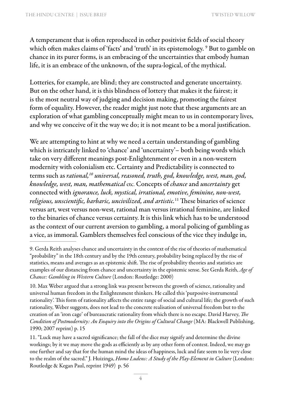A temperament that is often reproduced in other positivist fields of social theory which often makes claims of 'facts' and 'truth' in its epistemology. 9 But to gamble on chance in its purer forms, is an embracing of the uncertainties that embody human life, it is an embrace of the unknown, of the supra-logical, of the mythical.

Lotteries, for example, are blind; they are constructed and generate uncertainty. But on the other hand, it is this blindness of lottery that makes it the fairest; it is the most neutral way of judging and decision making, promoting the fairest form of equality. However, the reader might just note that these arguments are an exploration of what gambling conceptually might mean to us in contemporary lives, and why we conceive of it the way we do; it is not meant to be a moral justification.

We are attempting to hint at why we need a certain understanding of gambling which is intricately linked to 'chance' and 'uncertainty'– both being words which take on very different meanings post-Enlightenment or even in a non-western modernity with colonialism etc. Certainty and Predictability is connected to terms such as *rational,10 universal, reasoned, truth, god, knowledge, west, man, god, knowledge, west, man, mathematical* etc. Concepts of *chance* and *uncertainty* get connected with *ignorance, luck, mystical, irrational, emotive, feminine, non-west, religious, unscientific, barbaric, uncivilized, and artistic.*11 These binaries of science versus art, west versus non-west, rational man versus irrational feminine, are linked to the binaries of chance versus certainty. It is this link which has to be understood as the context of our current aversion to gambling, a moral policing of gambling as a vice, as immoral. Gamblers themselves feel conscious of the vice they indulge in,

<sup>9.</sup> Gerda Reith analyses chance and uncertainty in the context of the rise of theories of mathematical "probability" in the 18th century and by the 19th century, probability being replaced by the rise of statistics, means and averages as an epistemic shift. The rise of probability theories and statistics are examples of our distancing from chance and uncertainty in the epistemic sense. See Gerda Reith, *Age of Chance: Gambling in Western Culture* (London: Routledge: 2000)

<sup>10.</sup> Max Weber argued that a strong link was present between the growth of science, rationality and universal human freedom in the Enlightenment thinkers. He called this 'purposive-instrumental rationality'. This form of rationality affects the entire range of social and cultural life; the growth of such rationality, Weber suggests, does not lead to the concrete realisation of universal freedom but to the creation of an 'iron cage' of bureaucratic rationality from which there is no escape. David Harvey, *The Condition of Postmodernity: An Enquiry into the Origins of Cultural Change* (MA: Blackwell Publishing, 1990; 2007 reprint) p. 15

<sup>11. &</sup>quot;Luck may have a sacred significance; the fall of the dice may signify and determine the divine workings; by it we may move the gods as efficiently as by any other form of contest. Indeed, we may go one further and say that for the human mind the ideas of happiness, luck and fate seem to lie very close to the realm of the sacred." J. Huizinga, *Homo Ludens: A Study of the Play-Element in Culture* (London: Routledge & Kegan Paul, reprint 1949) p. 56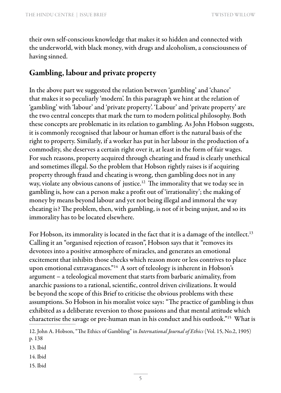their own self-conscious knowledge that makes it so hidden and connected with the underworld, with black money, with drugs and alcoholism, a consciousness of having sinned.

#### Gambling, labour and private property

In the above part we suggested the relation between 'gambling' and 'chance' that makes it so peculiarly 'modern'. In this paragraph we hint at the relation of 'gambling' with 'labour' and 'private property'. 'Labour' and 'private property' are the two central concepts that mark the turn to modern political philosophy. Both these concepts are problematic in its relation to gambling. As John Hobson suggests, it is commonly recognised that labour or human effort is the natural basis of the right to property. Similarly, if a worker has put in her labour in the production of a commodity, she deserves a certain right over it, at least in the form of fair wages. For such reasons, property acquired through cheating and fraud is clearly unethical and sometimes illegal. So the problem that Hobson rightly raises is if acquiring property through fraud and cheating is wrong, then gambling does not in any way, violate any obvious canons of justice.<sup>12</sup> The immorality that we today see in gambling is, how can a person make a profit out of 'irrationality'; the making of money by means beyond labour and yet not being illegal and immoral the way cheating is? The problem, then, with gambling, is not of it being unjust, and so its immorality has to be located elsewhere.

For Hobson, its immorality is located in the fact that it is a damage of the intellect.<sup>13</sup> Calling it an "organised rejection of reason", Hobson says that it "removes its devotees into a positive atmosphere of miracles, and generates an emotional excitement that inhibits those checks which reason more or less contrives to place upon emotional extravagances."14 A sort of teleology is inherent in Hobson's argument – a teleological movement that starts from barbaric animality, from anarchic passions to a rational, scientific, control driven civilizations. It would be beyond the scope of this Brief to criticise the obvious problems with these assumptions. So Hobson in his moralist voice says: "The practice of gambling is thus exhibited as a deliberate reversion to those passions and that mental attitude which characterise the savage or pre-human man in his conduct and his outlook."15 What is

13. Ibid

14. Ibid

15. Ibid

<sup>12.</sup> John A. Hobson, "The Ethics of Gambling" in *International Journal of Ethics* (Vol. 15, No.2, 1905) p. 138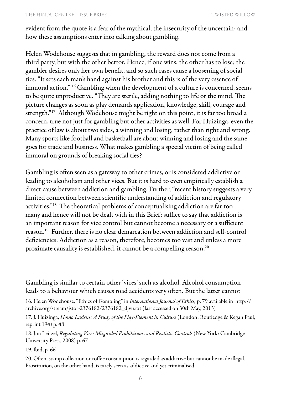evident from the quote is a fear of the mythical, the insecurity of the uncertain; and how these assumptions enter into talking about gambling.

Helen Wodehouse suggests that in gambling, the reward does not come from a third party, but with the other bettor. Hence, if one wins, the other has to lose; the gambler desires only her own benefit, and so such cases cause a loosening of social ties. "It sets each man's hand against his brother and this is of the very essence of immoral action." <sup>16</sup> Gambling when the development of a culture is concerned, seems to be quite unproductive. "They are sterile, adding nothing to life or the mind. The picture changes as soon as play demands application, knowledge, skill, courage and strength."17 Although Wodehouse might be right on this point, it is far too broad a concern, true not just for gambling but other activities as well. For Huizinga, even the practice of law is about two sides, a winning and losing, rather than right and wrong. Many sports like football and basketball are about winning and losing and the same goes for trade and business. What makes gambling a special victim of being called immoral on grounds of breaking social ties?

Gambling is often seen as a gateway to other crimes, or is considered addictive or leading to alcoholism and other vices. But it is hard to even empirically establish a direct cause between addiction and gambling. Further, "recent history suggests a very limited connection between scientific understanding of addiction and regulatory activities."18 The theoretical problems of conceptualising addiction are far too many and hence will not be dealt with in this Brief; suffice to say that addiction is an important reason for vice control but cannot become a necessary or a sufficient reason.19 Further, there is no clear demarcation between addiction and self-control deficiencies. Addiction as a reason, therefore, becomes too vast and unless a more proximate causality is established, it cannot be a compelling reason.<sup>20</sup>

Gambling is similar to certain other 'vices' such as alcohol. Alcohol consumption leads to a behaviour which causes road accidents very often. But the latter cannot

16. Helen Wodehouse, "Ethics of Gambling" in *International Journal of Ethics,* p. 79 available in http:// archive.org/stream/jstor-2376182/2376182\_djvu.txt (last accessed on 30th May, 2013)

17. J. Huizinga, *Homo Ludens: A Study of the Play-Element in Culture* (London: Routledge & Kegan Paul, reprint 194) p. 48

18. Jim Leitzel, *Regulating Vice: Misguided Prohibitions and Realistic Controls* (New York: Cambridge University Press, 2008) p. 67

19. Ibid, p. 66

20. Often, stamp collection or coffee consumption is regarded as addictive but cannot be made illegal. Prostitution, on the other hand, is rarely seen as addictive and yet criminalised.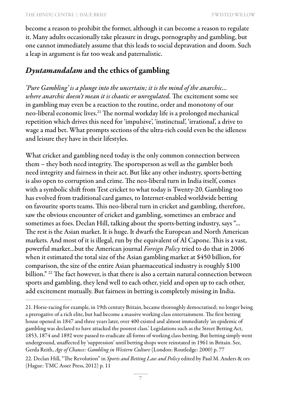become a reason to prohibit the former, although it can become a reason to regulate it. Many adults occasionally take pleasure in drugs, pornography and gambling, but one cannot immediately assume that this leads to social depravation and doom. Such a leap in argument is far too weak and paternalistic.

### *Dyutamandalam* and the ethics of gambling

*'Pure Gambling' is a plunge into the uncertain; it is the mind of the anarchic... where anarchic doesn't mean it is chaotic or unregulated.* The excitement some see in gambling may even be a reaction to the routine, order and monotony of our neo-liberal economic lives.21 The normal workday life is a prolonged mechanical repetition which drives this need for 'impulsive', 'instinctual', 'irrational', a drive to wage a mad bet. What prompts sections of the ultra-rich could even be the idleness and leisure they have in their lifestyles.

What cricket and gambling need today is the only common connection between them – they both need integrity. The sportsperson as well as the gambler both need integrity and fairness in their act. But like any other industry, sports-betting is also open to corruption and crime. The neo-liberal turn in India itself, comes with a symbolic shift from Test cricket to what today is Twenty-20. Gambling too has evolved from traditional card games, to Internet-enabled worldwide betting on favourite sports teams. This neo-liberal turn in cricket and gambling, therefore, saw the obvious encounter of cricket and gambling, sometimes an embrace and sometimes as foes. Declan Hill, talking about the sports-betting industry, says "... The rest is the Asian market. It is huge. It dwarfs the European and North American markets. And most of it is illegal, run by the equivalent of Al Capone. This is a vast, powerful market...but the American journal *Foreign Policy* tried to do that in 2006 when it estimated the total size of the Asian gambling market at \$450 billion, for comparison, the size of the entire Asian pharmaceutical industry is roughly \$100 billion." <sup>22</sup> The fact however, is that there is also a certain natural connection between sports and gambling, they lend well to each other, yield and open up to each other, add excitement mutually. But fairness in betting is completely missing in India.

<sup>21.</sup> Horse-racing for example, in 19th century Britain, became thoroughly democratised; no longer being a prerogative of a rich elite, but had become a massive working class entertainment. The first betting house opened in 1847 and three years later, over 400 existed and almost immediately 'an epidemic of gambling was declared to have attacked the poorest class.' Legislations such as the Street Betting Act, 1853, 1874 and 1892 were passed to eradicate all forms of working class betting. But betting simply went underground, unaffected by 'suppression' until betting shops were reinstated in 1961 in Britain. See, Gerda Reith, *Age of Chance: Gambling in Western Culture* (London: Routledge: 2000) p. 77

<sup>22.</sup> Declan Hill, "The Revolution" in *Sports and Betting Law and Policy* edited by Paul M. Anders & ors (Hague: TMC Asser Press, 2012) p. 11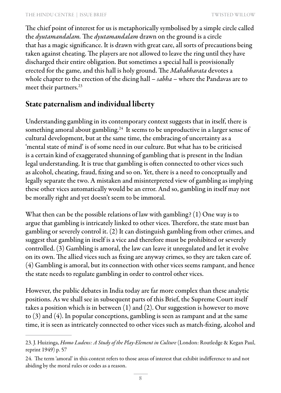The chief point of interest for us is metaphorically symbolised by a simple circle called the *dyutamandalam.* The *dyutamandalam* drawn on the ground is a circle that has a magic significance. It is drawn with great care, all sorts of precautions being taken against cheating. The players are not allowed to leave the ring until they have discharged their entire obligation. But sometimes a special hall is provisionally erected for the game, and this hall is holy ground. The *Mahabharata* devotes a whole chapter to the erection of the dicing hall – *sabha* – where the Pandavas are to meet their partners.<sup>23</sup>

#### State paternalism and individual liberty

Understanding gambling in its contemporary context suggests that in itself, there is something amoral about gambling.<sup>24</sup> It seems to be unproductive in a larger sense of cultural development, but at the same time, the embracing of uncertainty as a 'mental state of mind' is of some need in our culture. But what has to be criticised is a certain kind of exaggerated shunning of gambling that is present in the Indian legal understanding. It is true that gambling is often connected to other vices such as alcohol, cheating, fraud, fixing and so on. Yet, there is a need to conceptually and legally separate the two. A mistaken and misinterpreted view of gambling as implying these other vices automatically would be an error. And so, gambling in itself may not be morally right and yet doesn't seem to be immoral.

What then can be the possible relations of law with gambling? (1) One way is to argue that gambling is intricately linked to other vices. Therefore, the state must ban gambling or severely control it. (2) It can distinguish gambling from other crimes, and suggest that gambling in itself is a vice and therefore must be prohibited or severely controlled. (3) Gambling is amoral, the law can leave it unregulated and let it evolve on its own. The allied vices such as fixing are anyway crimes, so they are taken care of. (4) Gambling is amoral, but its connection with other vices seems rampant, and hence the state needs to regulate gambling in order to control other vices.

However, the public debates in India today are far more complex than these analytic positions. As we shall see in subsequent parts of this Brief, the Supreme Court itself takes a position which is in between (1) and (2). Our suggestion is however to move to (3) and (4). In popular conceptions, gambling is seen as rampant and at the same time, it is seen as intricately connected to other vices such as match-fixing, alcohol and

<sup>23.</sup> J. Huizinga, *Homo Ludens: A Study of the Play-Element in Culture* (London: Routledge & Kegan Paul, reprint 1949) p. 57

<sup>24.</sup> The term 'amoral' in this context refers to those areas of interest that exhibit indifference to and not abiding by the moral rules or codes as a reason.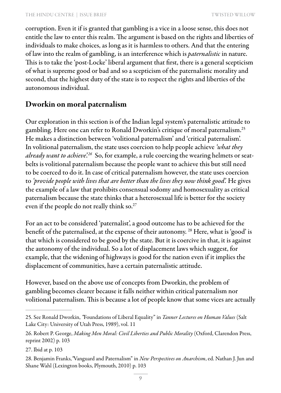corruption. Even it if is granted that gambling is a vice in a loose sense, this does not entitle the law to enter this realm. The argument is based on the rights and liberties of individuals to make choices, as long as it is harmless to others. And that the entering of law into the realm of gambling, is an interference which is *paternalistic* in nature. This is to take the 'post-Locke' liberal argument that first, there is a general scepticism of what is supreme good or bad and so a scepticism of the paternalistic morality and second, that the highest duty of the state is to respect the rights and liberties of the autonomous individual.

#### Dworkin on moral paternalism

Our exploration in this section is of the Indian legal system's paternalistic attitude to gambling. Here one can refer to Ronald Dworkin's critique of moral paternalism.25 He makes a distinction between 'volitional paternalism' and 'critical paternalism'. In volitional paternalism, the state uses coercion to help people achieve *'what they already want to achieve'.26* So, for example, a rule coercing the wearing helmets or seatbelts is volitional paternalism because the people want to achieve this but still need to be coerced to do it. In case of critical paternalism however, the state uses coercion to *'provide people with lives that are better than the lives they now think good'.* He gives the example of a law that prohibits consensual sodomy and homosexuality as critical paternalism because the state thinks that a heterosexual life is better for the society even if the people do not really think so.27

For an act to be considered 'paternalist', a good outcome has to be achieved for the benefit of the paternalised, at the expense of their autonomy. 28 Here, what is 'good' is that which is considered to be good by the state. But it is coercive in that, it is against the autonomy of the individual. So a lot of displacement laws which suggest, for example, that the widening of highways is good for the nation even if it implies the displacement of communities, have a certain paternalistic attitude.

However, based on the above use of concepts from Dworkin, the problem of gambling becomes clearer because it falls neither within critical paternalism nor volitional paternalism. This is because a lot of people know that some vices are actually

<sup>25.</sup> See Ronald Dworkin, *"*Foundations of Liberal Equality" in *Tanner Lectures on Human Values* (Salt Lake City: University of Utah Press, 1989), vol. 11

<sup>26.</sup> Robert P. George, *Making Men Moral: Civil Liberties and Public Morality* (Oxford, Clarendon Press, reprint 2002) p. 103

<sup>27.</sup> Ibid at p. 103

<sup>28.</sup> Benjamin Franks,*"*Vanguard and Paternalism" in *New Perspectives on Anarchism*, ed. Nathan J. Jun and Shane Wahl (Lexington books, Plymouth, 2010) p. 103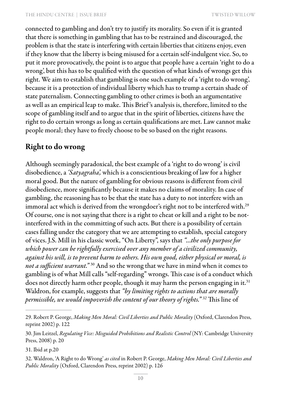connected to gambling and don't try to justify its morality. So even if it is granted that there is something in gambling that has to be restrained and discouraged, the problem is that the state is interfering with certain liberties that citizens enjoy, even if they know that the liberty is being misused for a certain self-indulgent vice. So, to put it more provocatively, the point is to argue that people have a certain 'right to do a wrong', but this has to be qualified with the question of what kinds of wrongs get this right. We aim to establish that gambling is one such example of a 'right to do wrong', because it is a protection of individual liberty which has to trump a certain shade of state paternalism. Connecting gambling to other crimes is both an argumentative as well as an empirical leap to make. This Brief 's analysis is, therefore, limited to the scope of gambling itself and to argue that in the spirit of liberties, citizens have the right to do certain wrongs as long as certain qualifications are met. Law cannot make people moral; they have to freely choose to be so based on the right reasons.

#### Right to do wrong

Although seemingly paradoxical, the best example of a 'right to do wrong' is civil disobedience, a *'Satyagraha',* which is a conscientious breaking of law for a higher moral good. But the nature of gambling for obvious reasons is different from civil disobedience, more significantly because it makes no claims of morality. In case of gambling, the reasoning has to be that the state has a duty to not interfere with an immoral act which is derived from the wrongdoer's right not to be interfered with.<sup>29</sup> Of course, one is not saying that there is a right to cheat or kill and a right to be notinterfered with in the committing of such acts. But there is a possibility of certain cases falling under the category that we are attempting to establish, special category of vices. J.S. Mill in his classic work, "On Liberty", says that *"...the only purpose for which power can be rightfully exercised over any member of a civilized community, against his will, is to prevent harm to others. His own good, either physical or moral, is not a sufficient warrant."* 30 And so the wrong that we have in mind when it comes to gambling is of what Mill calls "self-regarding" wrongs. This case is of a conduct which does not directly harm other people, though it may harm the person engaging in it.<sup>31</sup> Waldron, for example, suggests that *"by limiting rights to actions that are morally permissible, we would impoverish the content of our theory of rights." 32* This line of

31. Ibid at p.20

<sup>29.</sup> Robert P. George, *Making Men Moral: Civil Liberties and Public Morality* (Oxford, Clarendon Press, reprint 2002) p. 122

<sup>30.</sup> Jim Leitzel, *Regulating Vice: Misguided Prohibitions and Realistic Control* (NY: Cambridge University Press, 2008) p. 20

<sup>32.</sup> Waldron, 'A Right to do Wrong' *as cited* in Robert P. George, *Making Men Moral: Civil Liberties and Public Morality* (Oxford, Clarendon Press, reprint 2002) p. 126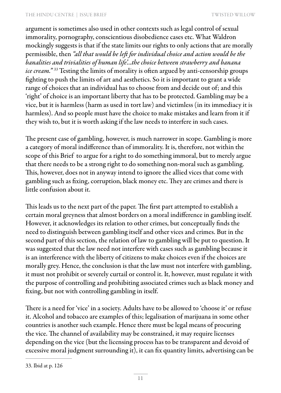argument is sometimes also used in other contexts such as legal control of sexual immorality, pornography, conscientious disobedience cases etc. What Waldron mockingly suggests is that if the state limits our rights to only actions that are morally permissible, then *"all that would be left for individual choice and action would be the banalities and trivialities of human life'...the choice between strawberry and banana ice cream." 33* Testing the limits of morality is often argued by anti-censorship groups fighting to push the limits of art and aesthetics. So it is important to grant a wide range of choices that an individual has to choose from and decide out of; and this 'right' of choice is an important liberty that has to be protected. Gambling may be a vice, but it is harmless (harm as used in tort law) and victimless (in its immediacy it is harmless). And so people must have the choice to make mistakes and learn from it if they wish to, but it is worth asking if the law needs to interfere in such cases.

The present case of gambling, however, is much narrower in scope. Gambling is more a category of moral indifference than of immorality. It is, therefore, not within the scope of this Brief to argue for a right to do something immoral, but to merely argue that there needs to be a strong right to do something non-moral such as gambling. This, however, does not in anyway intend to ignore the allied vices that come with gambling such as fixing, corruption, black money etc. They are crimes and there is little confusion about it.

This leads us to the next part of the paper. The first part attempted to establish a certain moral greyness that almost borders on a moral indifference in gambling itself. However, it acknowledges its relation to other crimes, but conceptually finds the need to distinguish between gambling itself and other vices and crimes. But in the second part of this section, the relation of law to gambling will be put to question. It was suggested that the law need not interfere with cases such as gambling because it is an interference with the liberty of citizens to make choices even if the choices are morally grey. Hence, the conclusion is that the law must not interfere with gambling, it must not prohibit or severely curtail or control it. It, however, must regulate it with the purpose of controlling and prohibiting associated crimes such as black money and fixing, but not with controlling gambling in itself.

There is a need for 'vice' in a society. Adults have to be allowed to 'choose it' or refuse it. Alcohol and tobacco are examples of this; legalisation of marijuana in some other countries is another such example. Hence there must be legal means of procuring the vice. The channel of availability may be constrained, it may require licenses depending on the vice (but the licensing process has to be transparent and devoid of excessive moral judgment surrounding it), it can fix quantity limits, advertising can be

<sup>33.</sup> Ibid at p. 126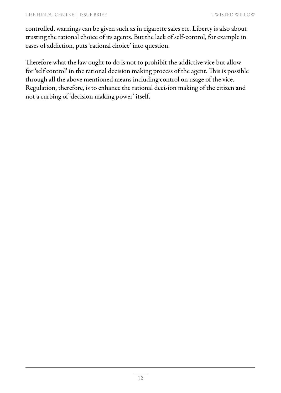controlled, warnings can be given such as in cigarette sales etc. Liberty is also about trusting the rational choice of its agents. But the lack of self-control, for example in cases of addiction, puts 'rational choice' into question.

Therefore what the law ought to do is not to prohibit the addictive vice but allow for 'self control' in the rational decision making process of the agent. This is possible through all the above mentioned means including control on usage of the vice. Regulation, therefore, is to enhance the rational decision making of the citizen and not a curbing of 'decision making power' itself.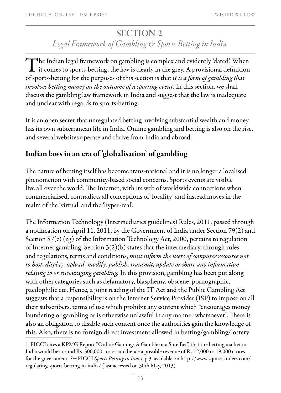### SECTION 2 *Legal Framework of Gambling & Sports Betting in India*

The Indian legal framework on gambling is complex and evidently 'dated'. When it comes to sports-betting, the law is clearly in the grey. A provisional definition of sports-betting for the purposes of this section is that *it is a form of gambling that involves betting money on the outcome of a sporting event.* In this section, we shall discuss the gambling law framework in India and suggest that the law is inadequate and unclear with regards to sports-betting.

It is an open secret that unregulated betting involving substantial wealth and money has its own subterranean life in India. Online gambling and betting is also on the rise, and several websites operate and thrive from India and abroad.<sup>1</sup>

### Indian laws in an era of 'globalisation' of gambling

The nature of betting itself has become trans-national and it is no longer a localised phenomenon with community-based social concerns. Sports events are visible live all over the world. The Internet, with its web of worldwide connections when commercialised, contradicts all conceptions of 'locality' and instead moves in the realm of the 'virtual' and the 'hyper-real'.

The Information Technology (Intermediaries guidelines) Rules, 2011, passed through a notification on April 11, 2011, by the Government of India under Section 79(2) and Section 87(c) (zg) of the Information Technology Act, 2000, pertains to regulation of Internet gambling. Section 3(2)(b) states that the intermediary, through rules and regulations, terms and conditions, *must inform the users of computer resource not to host, display, upload, modify, publish, transmit, update or share any information relating to or encouraging gambling.* In this provision, gambling has been put along with other categories such as defamatory, blasphemy, obscene, pornographic, paedophilic etc. Hence, a joint reading of the IT Act and the Public Gambling Act suggests that a responsibility is on the Internet Service Provider (ISP) to impose on all their subscribers, terms of use which prohibit any content which "encourages money laundering or gambling or is otherwise unlawful in any manner whatsoever". There is also an obligation to disable such content once the authorities gain the knowledge of this. Also, there is no foreign direct investment allowed in betting/gambling/lottery

<sup>1.</sup> FICCI cites a KPMG Report "Online Gaming: A Gamble or a Sure Bet", that the betting market in India would be around Rs. 300,000 crores and hence a possible revenue of Rs 12,000 to 19,000 crores for the government. *See* FICCI *Sports Betting in India*, p.3, available on http://www.squiresanders.com/ regulating-sports-betting-in-india/ (last accessed on 30th May, 2013)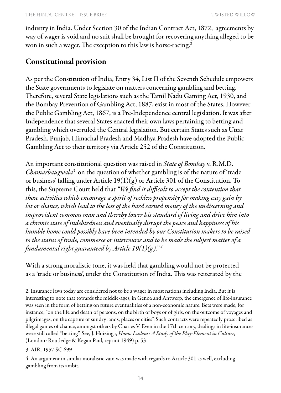industry in India. Under Section 30 of the Indian Contract Act, 1872, agreements by way of wager is void and no suit shall be brought for recovering anything alleged to be won in such a wager. The exception to this law is horse-racing.<sup>2</sup>

#### Constitutional provision

As per the Constitution of India, Entry 34, List II of the Seventh Schedule empowers the State governments to legislate on matters concerning gambling and betting. Therefore, several State legislations such as the Tamil Nadu Gaming Act, 1930, and the Bombay Prevention of Gambling Act, 1887, exist in most of the States. However the Public Gambling Act, 1867, is a Pre-Independence central legislation. It was after Independence that several States enacted their own laws pertaining to betting and gambling which overruled the Central legislation. But certain States such as Uttar Pradesh, Punjab, Himachal Pradesh and Madhya Pradesh have adopted the Public Gambling Act to their territory via Article 252 of the Constitution.

An important constitutional question was raised in *State of Bombay* v. R.M.D. *Chamarbaugwala3* on the question of whether gambling is of the nature of 'trade or business' falling under Article 19(1)(g) or Article 301 of the Constitution. To this, the Supreme Court held that *"We find it difficult to accept the contention that those activities which encourage a spirit of reckless propensity for making easy gain by lot or chance, which lead to the loss of the hard earned money of the undiscerning and improvident common man and thereby lower his standard of living and drive him into a chronic state of indebtedness and eventually disrupt the peace and happiness of his humble home could possibly have been intended by our Constitution makers to be raised to the status of trade, commerce or intercourse and to be made the subject matter of a fundamental right guaranteed by Article 19(1)(g)." 4*

With a strong moralistic tone, it was held that gambling would not be protected as a 'trade or business', under the Constitution of India. This was reiterated by the

<sup>2.</sup> Insurance laws today are considered not to be a wager in most nations including India. But it is interesting to note that towards the middle-ages, in Genoa and Antwerp, the emergence of life-insurance was seen in the form of betting on future eventualities of a non-economic nature. Bets were made, for instance, "on the life and death of persons, on the birth of boys or of girls, on the outcome of voyages and pilgrimages, on the capture of sundry lands, places or cities". Such contracts were repeatedly proscribed as illegal games of chance, amongst others by Charles V. Even in the 17th century, dealings in life-insurances were still called "betting". See, J. Huizinga, *Homo Ludens: A Study of the Play-Element in Culture,*  (London: Routledge & Kegan Paul, reprint 1949) p. 53

<sup>3.</sup> AIR. 1957 SC 699

<sup>4.</sup> An argument in similar moralistic vain was made with regards to Article 301 as well, excluding gambling from its ambit.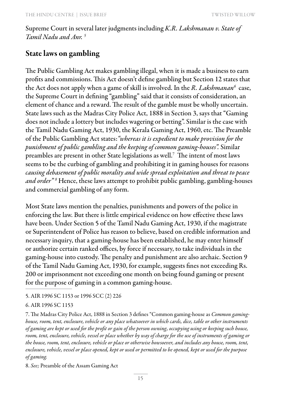Supreme Court in several later judgments including *K.R. Lakshmanan v. State of Tamil Nadu and Anr. 5*

#### State laws on gambling

The Public Gambling Act makes gambling illegal, when it is made a business to earn profits and commissions. This Act doesn't define gambling but Section 12 states that the Act does not apply when a game of skill is involved. In the *R. Lakshmanan*<sup>6</sup> case, the Supreme Court in defining "gambling" said that it consists of consideration, an element of chance and a reward. The result of the gamble must be wholly uncertain. State laws such as the Madras City Police Act, 1888 in Section 3, says that "Gaming does not include a lottery but includes wagering or betting". Similar is the case with the Tamil Nadu Gaming Act, 1930, the Kerala Gaming Act, 1960, etc. The Preamble of the Public Gambling Act states:*"whereas it is expedient to make provision for the punishment of public gambling and the keeping of common gaming-houses".* Similar preambles are present in other State legislations as well.7 The intent of most laws seems to be the curbing of gambling and prohibiting it in gaming houses for reasons *causing debasement of public morality and wide spread exploitation and threat to peace and order" <sup>8</sup>* Hence, these laws attempt to prohibit public gambling, gambling-houses and commercial gambling of any form.

Most State laws mention the penalties, punishments and powers of the police in enforcing the law. But there is little empirical evidence on how effective these laws have been. Under Section 5 of the Tamil Nadu Gaming Act, 1930, if the magistrate or Superintendent of Police has reason to believe, based on credible information and necessary inquiry, that a gaming-house has been established, he may enter himself or authorize certain ranked offices, by force if necessary, to take individuals in the gaming-house into custody. The penalty and punishment are also archaic. Section 9 of the Tamil Nadu Gaming Act, 1930, for example, suggests fines not exceeding Rs. 200 or imprisonment not exceeding one month on being found gaming or present for the purpose of gaming in a common gaming-house.

5. AIR 1996 SC 1153 or 1996 SCC (2) 226

7. The Madras City Police Act, 1888 in Section 3 defines "Common gaming-house as *Common gaminghouse, room, tent, enclosure, vehicle or any place whatsoever in which cards, dice, table or other instruments of gaming are kept or used for the profit or gain of the person owning, occupying using or keeping such house, room, tent, enclosure, vehicle, vessel or place whether by way of charge for the use of instruments of gaming or the house, room, tent, enclosure, vehicle or place or otherwise howsoever, and includes any house, room, tent, enclosure, vehicle, vessel or place opened, kept or used or permitted to be opened, kept or used for the purpose of gaming.*

8. *See;* Preamble of the Assam Gaming Act

<sup>6.</sup> AIR 1996 SC 1153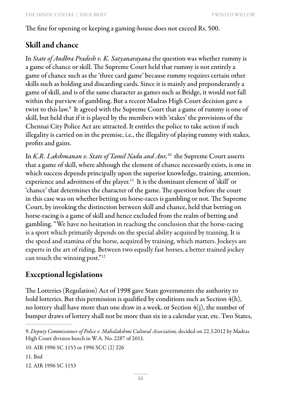The fine for opening or keeping a gaming-house does not exceed Rs. 500.

#### Skill and chance

In *State of Andhra Pradesh v. K. Satyanarayana* the question was whether rummy is a game of chance or skill. The Supreme Court held that rummy is not entirely a game of chance such as the 'three card game' because rummy requires certain other skills such as holding and discarding cards. Since it is mainly and preponderantly a game of skill, and is of the same character as games such as Bridge, it would not fall within the purview of gambling. But a recent Madras High Court decision gave a twist to this law.9 It agreed with the Supreme Court that a game of rummy is one of skill, but held that if it is played by the members with 'stakes' the provisions of the Chennai City Police Act are attracted. It entitles the police to take action if such illegality is carried on in the premise, i.e., the illegality of playing rummy with stakes, profits and gains.

In *K.R. Lakshmanan v. State of Tamil Nadu and Anr*,<sup>10</sup> the Supreme Court asserts that a game of skill, where although the element of chance necessarily exists, is one in which success depends principally upon the superior knowledge, training, attention, experience and adroitness of the player.<sup>11</sup> It is the dominant element of 'skill' or 'chance' that determines the character of the game. The question before the court in this case was on whether betting on horse-races is gambling or not. The Supreme Court, by invoking the distinction between skill and chance, held that betting on horse-racing is a game of skill and hence excluded from the realm of betting and gambling. "We have no hesitation in reaching the conclusion that the horse-racing is a sport which primarily depends on the special ability acquired by training. It is the speed and stamina of the horse, acquired by training, which matters. Jockeys are experts in the art of riding. Between two equally fast horses, a better trained jockey can touch the winning post."<sup>12</sup>

#### Exceptional legislations

The Lotteries (Regulation) Act of 1998 gave State governments the authority to hold lotteries. But this permission is qualified by conditions such as Section 4(h), no lottery shall have more than one draw in a week, or Section 4(j), the number of bumper draws of lottery shall not be more than six in a calendar year, etc. Two States,

10. AIR 1996 SC 1153 or 1996 SCC (2) 226

11. Ibid

12. AIR 1996 SC 1153

<sup>9.</sup> *Deputy Commissioner of Police v. Mahalakshmi Cultural Association,* decided on 22.3.2012 by Madras High Court division bench in W.A. No. 2287 of 2011.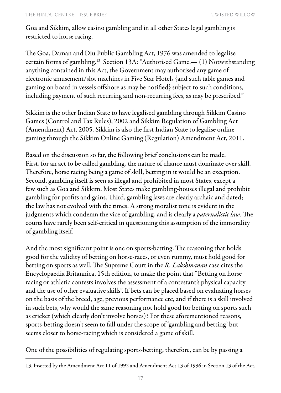Goa and Sikkim, allow casino gambling and in all other States legal gambling is restricted to horse racing.

The Goa, Daman and Diu Public Gambling Act, 1976 was amended to legalise certain forms of gambling.13 Section 13A: "Authorised Game.— (1) Notwithstanding anything contained in this Act, the Government may authorised any game of electronic amusement/slot machines in Five Star Hotels {and such table games and gaming on board in vessels offshore as may be notified} subject to such conditions, including payment of such recurring and non-recurring fees, as may be prescribed."

Sikkim is the other Indian State to have legalised gambling through Sikkim Casino Games (Control and Tax Rules), 2002 and Sikkim Regulation of Gambling Act (Amendment) Act, 2005. Sikkim is also the first Indian State to legalise online gaming through the Sikkim Online Gaming (Regulation) Amendment Act, 2011.

Based on the discussion so far, the following brief conclusions can be made. First, for an act to be called gambling, the nature of chance must dominate over skill. Therefore, horse racing being a game of skill, betting in it would be an exception. Second, gambling itself is seen as illegal and prohibited in most States, except a few such as Goa and Sikkim. Most States make gambling-houses illegal and prohibit gambling for profits and gains. Third, gambling laws are clearly archaic and dated; the law has not evolved with the times. A strong moralist tone is evident in the judgments which condemn the vice of gambling, and is clearly a *paternalistic law.* The courts have rarely been self-critical in questioning this assumption of the immorality of gambling itself.

And the most significant point is one on sports-betting. The reasoning that holds good for the validity of betting on horse-races, or even rummy, must hold good for betting on sports as well. The Supreme Court in the *R. Lakshmanan* case cites the Encyclopaedia Britannica, 15th edition, to make the point that "Betting on horse racing or athletic contests involves the assessment of a contestant's physical capacity and the use of other evaluative skills". If bets can be placed based on evaluating horses on the basis of the breed, age, previous performance etc, and if there is a skill involved in such bets, why would the same reasoning not hold good for betting on sports such as cricket (which clearly don't involve horses)? For these aforementioned reasons, sports-betting doesn't seem to fall under the scope of 'gambling and betting' but seems closer to horse-racing which is considered a game of skill.

One of the possibilities of regulating sports-betting, therefore, can be by passing a

<sup>13.</sup> Inserted by the Amendment Act 11 of 1992 and Amendment Act 13 of 1996 in Section 13 of the Act.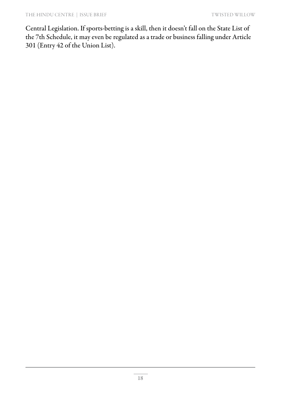Central Legislation. If sports-betting is a skill, then it doesn't fall on the State List of the 7th Schedule, it may even be regulated as a trade or business falling under Article 301 (Entry 42 of the Union List).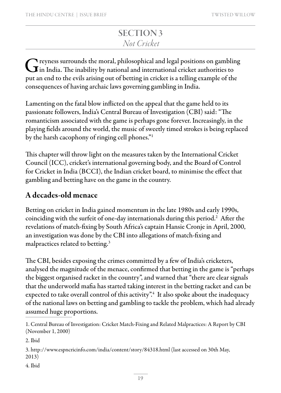### SECTION 3 *Not Cricket*

 $\bigcap$  reyness surrounds the moral, philosophical and legal positions on gambling  ${\bf J}$  in India. The inability by national and international cricket authorities to put an end to the evils arising out of betting in cricket is a telling example of the consequences of having archaic laws governing gambling in India.

Lamenting on the fatal blow inflicted on the appeal that the game held to its passionate followers, India's Central Bureau of Investigation (CBI) said: "The romanticism associated with the game is perhaps gone forever. Increasingly, in the playing fields around the world, the music of sweetly timed strokes is being replaced by the harsh cacophony of ringing cell phones."1

This chapter will throw light on the measures taken by the International Cricket Council (ICC), cricket's international governing body, and the Board of Control for Cricket in India (BCCI), the Indian cricket board, to minimise the effect that gambling and betting have on the game in the country.

#### A decades-old menace

Betting on cricket in India gained momentum in the late 1980s and early 1990s, coinciding with the surfeit of one-day internationals during this period.2 After the revelations of match-fixing by South Africa's captain Hansie Cronje in April, 2000, an investigation was done by the CBI into allegations of match-fixing and malpractices related to betting.3

The CBI, besides exposing the crimes committed by a few of India's cricketers, analysed the magnitude of the menace, confirmed that betting in the game is "perhaps the biggest organised racket in the country", and warned that "there are clear signals that the underworld mafia has started taking interest in the betting racket and can be expected to take overall control of this activity".<sup>4</sup> It also spoke about the inadequacy of the national laws on betting and gambling to tackle the problem, which had already assumed huge proportions.

2. Ibid

3. http://www.espncricinfo.com/india/content/story/84318.html (last accessed on 30th May, 2013)

4. Ibid

<sup>1.</sup> Central Bureau of Investigation: Cricket Match-Fixing and Related Malpractices: A Report by CBI (November 1, 2000)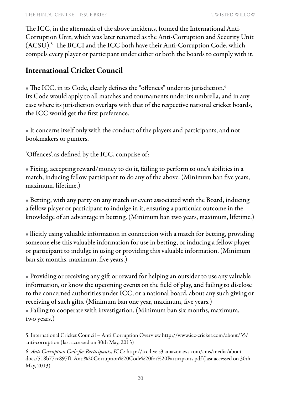The ICC, in the aftermath of the above incidents, formed the International Anti-Corruption Unit, which was later renamed as the Anti-Corruption and Security Unit (ACSU).5 The BCCI and the ICC both have their Anti-Corruption Code, which compels every player or participant under either or both the boards to comply with it.

#### International Cricket Council

 $\bullet$  The ICC, in its Code, clearly defines the "offences" under its jurisdiction.<sup>6</sup> Its Code would apply to all matches and tournaments under its umbrella, and in any case where its jurisdiction overlaps with that of the respective national cricket boards, the ICC would get the first preference.

• It concerns itself only with the conduct of the players and participants, and not bookmakers or punters.

'Offences', as defined by the ICC, comprise of:

• Fixing, accepting reward/money to do it, failing to perform to one's abilities in a match, inducing fellow participant to do any of the above. (Minimum ban five years, maximum, lifetime.)

• Betting, with any party on any match or event associated with the Board, inducing a fellow player or participant to indulge in it, ensuring a particular outcome in the knowledge of an advantage in betting. (Minimum ban two years, maximum, lifetime.)

• llicitly using valuable information in connection with a match for betting, providing someone else this valuable information for use in betting, or inducing a fellow player or participant to indulge in using or providing this valuable information. (Minimum ban six months, maximum, five years.)

• Providing or receiving any gift or reward for helping an outsider to use any valuable information, or know the upcoming events on the field of play, and failing to disclose to the concerned authorities under ICC, or a national board, about any such giving or receiving of such gifts. (Minimum ban one year, maximum, five years.) • Failing to cooperate with investigation. (Minimum ban six months, maximum, two years.)

<sup>5.</sup> International Cricket Council – Anti Corruption Overview http://www.icc-cricket.com/about/35/ anti-corruption (last accessed on 30th May, 2013)

<sup>6.</sup> *Anti Corruption Code for Participants, I*CC: http://icc-live.s3.amazonaws.com/cms/media/about\_ docs/518b77cc897f1-Anti%20Corruption%20Code%20for%20Participants.pdf (last accessed on 30th May, 2013)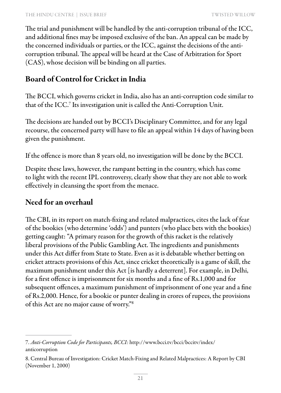The trial and punishment will be handled by the anti-corruption tribunal of the ICC, and additional fines may be imposed exclusive of the ban. An appeal can be made by the concerned individuals or parties, or the ICC, against the decisions of the anticorruption tribunal. The appeal will be heard at the Case of Arbitration for Sport (CAS), whose decision will be binding on all parties.

#### Board of Control for Cricket in India

The BCCI, which governs cricket in India, also has an anti-corruption code similar to that of the ICC.<sup>7</sup> Its investigation unit is called the Anti-Corruption Unit.

The decisions are handed out by BCCI's Disciplinary Committee, and for any legal recourse, the concerned party will have to file an appeal within 14 days of having been given the punishment.

If the offence is more than 8 years old, no investigation will be done by the BCCI.

Despite these laws, however, the rampant betting in the country, which has come to light with the recent IPL controversy, clearly show that they are not able to work effectively in cleansing the sport from the menace.

#### Need for an overhaul

The CBI, in its report on match-fixing and related malpractices, cites the lack of fear of the bookies (who determine 'odds') and punters (who place bets with the bookies) getting caught: "A primary reason for the growth of this racket is the relatively liberal provisions of the Public Gambling Act. The ingredients and punishments under this Act differ from State to State. Even as it is debatable whether betting on cricket attracts provisions of this Act, since cricket theoretically is a game of skill, the maximum punishment under this Act [is hardly a deterrent]. For example, in Delhi, for a first offence is imprisonment for six months and a fine of Rs.1,000 and for subsequent offences, a maximum punishment of imprisonment of one year and a fine of Rs.2,000. Hence, for a bookie or punter dealing in crores of rupees, the provisions of this Act are no major cause of worry."8

<sup>7.</sup> *Anti-Corruption Code for Participants, BCCI:* http://www.bcci.tv/bcci/bccitv/index/ anticorruption

<sup>8.</sup> Central Bureau of Investigation: Cricket Match-Fixing and Related Malpractices: A Report by CBI (November 1, 2000)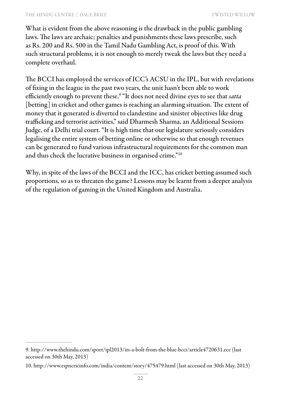#### THE HINDU CENTRE | ISSUE BRIEF TWO TWISTED WILLOW

What is evident from the above reasoning is the drawback in the public gambling laws. The laws are archaic; penalties and punishments these laws prescribe, such as Rs. 200 and Rs. 500 in the Tamil Nadu Gambling Act, is proof of this. With such structural problems, it is not enough to merely tweak the laws but they need a complete overhaul.

The BCCI has employed the services of ICC's ACSU in the IPL, but with revelations of fixing in the league in the past two years, the unit hasn't been able to work efficiently enough to prevent these.9 "It does not need divine eyes to see that *satta*  [betting] in cricket and other games is reaching an alarming situation. The extent of money that it generated is diverted to clandestine and sinister objectives like drug trafficking and terrorist activities," said Dharmesh Sharma, an Additional Sessions Judge, of a Delhi trial court. "It is high time that our legislature seriously considers legalising the entire system of betting online or otherwise so that enough revenues can be generated to fund various infrastructural requirements for the common man and thus check the lucrative business in organised crime."10

Why, in spite of the laws of the BCCI and the ICC, has cricket betting assumed such proportions, so as to threaten the game? Lessons may be learnt from a deeper analysis of the regulation of gaming in the United Kingdom and Australia.

<sup>9.</sup> http://www.thehindu.com/sport/ipl2013/its-a-bolt-from-the-blue-bcci/article4720631.ece (last accessed on 30th May, 2013)

<sup>10.</sup> http://www.espncricinfo.com/india/content/story/475479.html (last accessed on 30th May, 2013)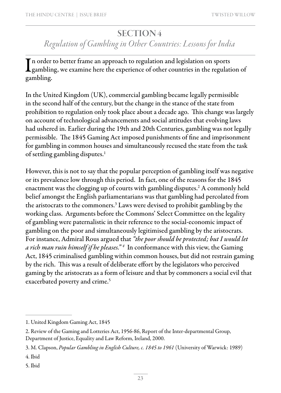#### SECTION 4

## *Regulation of Gambling in Other Countries: Lessons for India*

In order to better frame an approach to regulation and legislation on sports<br>gambling, we examine here the experience of other countries in the regulation of In order to better frame an approach to regulation and legislation on sports gambling.

In the United Kingdom (UK), commercial gambling became legally permissible in the second half of the century, but the change in the stance of the state from prohibition to regulation only took place about a decade ago. This change was largely on account of technological advancements and social attitudes that evolving laws had ushered in. Earlier during the 19th and 20th Centuries, gambling was not legally permissible. The 1845 Gaming Act imposed punishments of fine and imprisonment for gambling in common houses and simultaneously recused the state from the task of settling gambling disputes.<sup>1</sup>

However, this is not to say that the popular perception of gambling itself was negative or its prevalence low through this period. In fact, one of the reasons for the 1845 enactment was the clogging up of courts with gambling disputes. $^2$  A commonly held belief amongst the English parliamentarians was that gambling had percolated from the aristocrats to the commoners.3 Laws were devised to prohibit gambling by the working class. Arguments before the Commons' Select Committee on the legality of gambling were paternalistic in their reference to the social-economic impact of gambling on the poor and simultaneously legitimised gambling by the aristocrats. For instance, Admiral Rous argued that *"the poor should be protected; but I would let a rich man ruin himself if he pleases." 4* In conformance with this view, the Gaming Act, 1845 criminalised gambling within common houses, but did not restrain gaming by the rich. This was a result of deliberate effort by the legislators who perceived gaming by the aristocrats as a form of leisure and that by commoners a social evil that exacerbated poverty and crime.<sup>5</sup>

<sup>1.</sup> United Kingdom Gaming Act, 1845

<sup>2.</sup> Review of the Gaming and Lotteries Act, 1956-86, Report of the Inter-departmental Group, Department of Justice, Equality and Law Reform, Ireland, 2000.

<sup>3.</sup> M. Clapson, *Popular Gambling in English Culture, c. 1845 to 1961* (University of Warwick: 1989)

<sup>4.</sup> Ibid

<sup>5.</sup> Ibid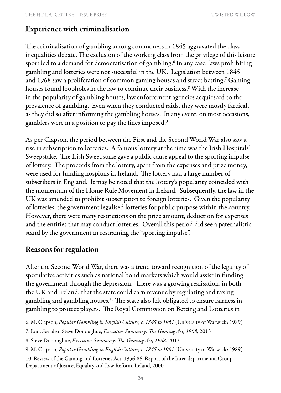#### Experience with criminalisation

The criminalisation of gambling among commoners in 1845 aggravated the class inequalities debate. The exclusion of the working class from the privilege of this leisure sport led to a demand for democratisation of gambling.<sup>6</sup> In any case, laws prohibiting gambling and lotteries were not successful in the UK. Legislation between 1845 and 1968 saw a proliferation of common gaming houses and street betting.<sup>7</sup> Gaming houses found loopholes in the law to continue their business.8 With the increase in the popularity of gambling houses, law enforcement agencies acquiesced to the prevalence of gambling. Even when they conducted raids, they were mostly farcical, as they did so after informing the gambling houses. In any event, on most occasions, gamblers were in a position to pay the fines imposed.9  $\overline{a}$ 

As per Clapson, the period between the First and the Second World War also saw a rise in subscription to lotteries. A famous lottery at the time was the Irish Hospitals' Sweepstake. The Irish Sweepstake gave a public cause appeal to the sporting impulse of lottery. The proceeds from the lottery, apart from the expenses and prize money, were used for funding hospitals in Ireland. The lottery had a large number of subscribers in England. It may be noted that the lottery's popularity coincided with the momentum of the Home Rule Movement in Ireland. Subsequently, the law in the UK was amended to prohibit subscription to foreign lotteries. Given the popularity of lotteries, the government legalised lotteries for public purpose within the country. However, there were many restrictions on the prize amount, deduction for expenses and the entities that may conduct lotteries. Overall this period did see a paternalistic stand by the government in restraining the "sporting impulse".

#### Reasons for regulation

After the Second World War, there was a trend toward recognition of the legality of speculative activities such as national bond markets which would assist in funding the government through the depression. There was a growing realisation, in both the UK and Ireland, that the state could earn revenue by regulating and taxing gambling and gambling houses.10 The state also felt obligated to ensure fairness in gambling to protect players. The Royal Commission on Betting and Lotteries in

<sup>6.</sup> M. Clapson, *Popular Gambling in English Culture, c. 1845 to 1961* (University of Warwick: 1989)

<sup>7.</sup> Ibid. See also: Steve Donoughue, *Executive Summary: The Gaming Act, 1968,* 2013

<sup>8.</sup> Steve Donoughue, *Executive Summary: The Gaming Act, 1968,* 2013

<sup>9.</sup> M. Clapson, *Popular Gambling in English Culture, c. 1845 to 1961* (University of Warwick: 1989)

<sup>10.</sup> Review of the Gaming and Lotteries Act, 1956-86, Report of the Inter-departmental Group, Department of Justice, Equality and Law Reform, Ireland, 2000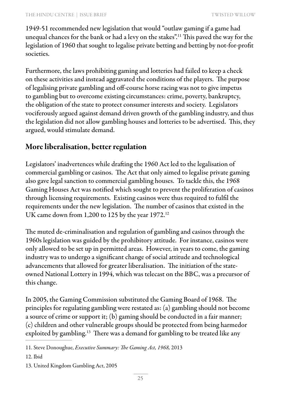1949-51 recommended new legislation that would "outlaw gaming if a game had unequal chances for the bank or had a levy on the stakes".11 This paved the way for the legislation of 1960 that sought to legalise private betting and betting by not-for-profit societies.

Furthermore, the laws prohibiting gaming and lotteries had failed to keep a check on these activities and instead aggravated the conditions of the players. The purpose of legalising private gambling and off-course horse racing was not to give impetus to gambling but to overcome existing circumstances: crime, poverty, bankruptcy, the obligation of the state to protect consumer interests and society. Legislators vociferously argued against demand driven growth of the gambling industry, and thus the legislation did not allow gambling houses and lotteries to be advertised. This, they argued, would stimulate demand.

### More liberalisation, better regulation

Legislators' inadvertences while drafting the 1960 Act led to the legalisation of commercial gambling or casinos. The Act that only aimed to legalise private gaming also gave legal sanction to commercial gambling houses. To tackle this, the 1968 Gaming Houses Act was notified which sought to prevent the proliferation of casinos through licensing requirements. Existing casinos were thus required to fulfil the requirements under the new legislation. The number of casinos that existed in the UK came down from 1,200 to 125 by the year 1972.<sup>12</sup>

The muted de-criminalisation and regulation of gambling and casinos through the 1960s legislation was guided by the prohibitory attitude. For instance, casinos were only allowed to be set up in permitted areas. However, in years to come, the gaming industry was to undergo a significant change of social attitude and technological advancements that allowed for greater liberalisation. The initiation of the stateowned National Lottery in 1994, which was telecast on the BBC, was a precursor of this change.

In 2005, the Gaming Commission substituted the Gaming Board of 1968. The principles for regulating gambling were restated as: (a) gambling should not become a source of crime or support it; (b) gaming should be conducted in a fair manner; (c) children and other vulnerable groups should be protected from being harmedor exploited by gambling.<sup>13</sup> There was a demand for gambling to be treated like any

<sup>11.</sup> Steve Donoughue, *Executive Summary: The Gaming Act, 1968,* 2013

<sup>12.</sup> Ibid

<sup>13.</sup> United Kingdom Gambling Act, 2005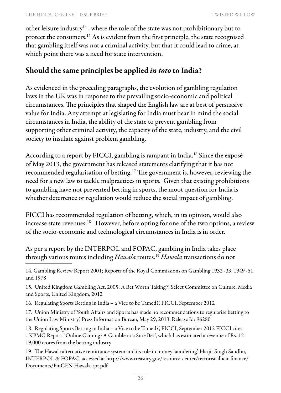other leisure industry<sup>14</sup>, where the role of the state was not prohibitionary but to protect the consumers.15 As is evident from the first principle, the state recognised that gambling itself was not a criminal activity, but that it could lead to crime, at which point there was a need for state intervention.

### Should the same principles be applied *in toto* to India?

As evidenced in the preceding paragraphs, the evolution of gambling regulation laws in the UK was in response to the prevailing socio-economic and political circumstances. The principles that shaped the English law are at best of persuasive value for India. Any attempt at legislating for India must bear in mind the social circumstances in India, the ability of the state to prevent gambling from supporting other criminal activity, the capacity of the state, industry, and the civil society to insulate against problem gambling.

According to a report by FICCI, gambling is rampant in India.<sup>16</sup> Since the exposé of May 2013, the government has released statements clarifying that it has not recommended regularisation of betting.17 The government is, however, reviewing the need for a new law to tackle malpractices in sports. Given that existing prohibitions to gambling have not prevented betting in sports, the moot question for India is whether deterrence or regulation would reduce the social impact of gambling.

FICCI has recommended regulation of betting, which, in its opinion, would also increase state revenues.18 However, before opting for one of the two options, a review of the socio-economic and technological circumstances in India is in order.

As per a report by the INTERPOL and FOPAC, gambling in India takes place through various routes including *Hawala* routes.19 *Hawala* transactions do not

15. 'United Kingdom Gambling Act, 2005: A Bet Worth Taking?', Select Committee on Culture, Media and Sports, United Kingdom, 2012

16. 'Regulating Sports Betting in India – a Vice to be Tamed?', FICCI, September 2012

17. 'Union Ministry of Youth Affairs and Sports has made no recommendations to regularise betting to the Union Law Ministry', Press Information Bureau, May 29, 2013, Release Id: 96280

18. 'Regulating Sports Betting in India – a Vice to be Tamed?', FICCI, September 2012 FICCI cites a KPMG Report "Online Gaming: A Gamble or a Sure Bet", which has estimated a revenue of Rs. 12- 19,000 crores from the betting industry

19. 'The Hawala alternative remittance system and its role in money laundering', Harjit Singh Sandhu, INTERPOL & FOPAC, accessed at http://www.treasury.gov/resource-center/terrorist-illicit-finance/ Documents/FinCEN-Hawala-rpt.pdf

<sup>14.</sup> Gambling Review Report 2001; Reports of the Royal Commissions on Gambling 1932 -33, 1949 -51, and 1978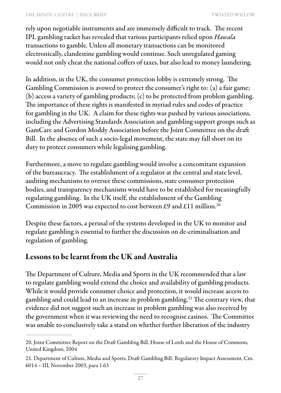#### THE HINDU CENTRE | ISSUE BRIEF TWO TWISTED WILLOW

rely upon negotiable instruments and are immensely difficult to track. The recent IPL gambling racket has revealed that various participants relied upon *Hawala*  transactions to gamble. Unless all monetary transactions can be monitored electronically, clandestine gambling would continue. Such unregulated gaming would not only cheat the national coffers of taxes, but also lead to money laundering.

In addition, in the UK, the consumer protection lobby is extremely strong. The Gambling Commission is avowed to protect the consumer's right to: (a) a fair game; (b) access a variety of gambling products; (c) to be protected from problem gambling. The importance of these rights is manifested in myriad rules and codes of practice for gambling in the UK. A claim for these rights was pushed by various associations, including the Advertising Standards Association and gambling support groups such as GamCare and Gordon Moddy Association before the Joint Committee on the draft Bill. In the absence of such a socio-legal movement, the state may fall short on its duty to protect consumers while legalising gambling.

Furthermore, a move to regulate gambling would involve a concomitant expansion of the bureaucracy. The establishment of a regulator at the central and state level, auditing mechanisms to oversee these commissions, state consumer protection bodies, and transparency mechanisms would have to be established for meaningfully regulating gambling. In the UK itself, the establishment of the Gambling Commission in 2005 was expected to cost between £9 and £11 million.<sup>20</sup>

Despite these factors, a perusal of the systems developed in the UK to monitor and regulate gambling is essential to further the discussion on de-criminalisation and regulation of gambling.

#### Lessons to be learnt from the UK and Australia

The Department of Culture, Media and Sports in the UK recommended that a law to regulate gambling would extend the choice and availability of gambling products. While it would provide consumer choice and protection, it would increase access to gambling and could lead to an increase in problem gambling.21 The contrary view, that evidence did not suggest such an increase in problem gambling was also received by the government when it was reviewing the need to recognise casinos. The Committee was unable to conclusively take a stand on whether further liberation of the industry

<sup>20.</sup> Joint Committee Report on the Draft Gambling Bill, House of Lords and the House of Commons, United Kingdom, 2004

<sup>21.</sup> Department of Culture, Media and Sports, Draft Gambling Bill: Regulatory Impact Assessment, Cm. 6014 – III, November 2003, para 1.63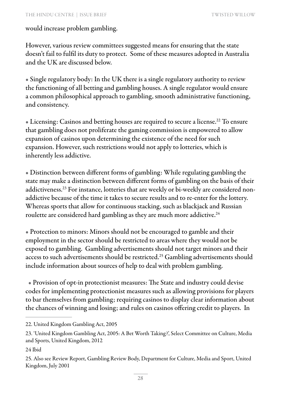#### would increase problem gambling.

However, various review committees suggested means for ensuring that the state doesn't fail to fulfil its duty to protect. Some of these measures adopted in Australia and the UK are discussed below.

• Single regulatory body: In the UK there is a single regulatory authority to review the functioning of all betting and gambling houses. A single regulator would ensure a common philosophical approach to gambling, smooth administrative functioning, and consistency.

• Licensing: Casinos and betting houses are required to secure a license.22 To ensure that gambling does not proliferate the gaming commission is empowered to allow expansion of casinos upon determining the existence of the need for such expansion. However, such restrictions would not apply to lotteries, which is inherently less addictive.

• Distinction between different forms of gambling: While regulating gambling the state may make a distinction between different forms of gambling on the basis of their addictiveness.23 For instance, lotteries that are weekly or bi-weekly are considered nonaddictive because of the time it takes to secure results and to re-enter for the lottery. Whereas sports that allow for continuous stacking, such as blackjack and Russian roulette are considered hard gambling as they are much more addictive.<sup>24</sup>

• Protection to minors: Minors should not be encouraged to gamble and their employment in the sector should be restricted to areas where they would not be exposed to gambling. Gambling advertisements should not target minors and their access to such advertisements should be restricted.<sup>25</sup> Gambling advertisements should include information about sources of help to deal with problem gambling.

 • Provision of opt-in protectionist measures: The State and industry could devise codes for implementing protectionist measures such as allowing provisions for players to bar themselves from gambling; requiring casinos to display clear information about the chances of winning and losing; and rules on casinos offering credit to players. In

24 Ibid

<sup>22.</sup> United Kingdom Gambling Act, 2005

<sup>23. &#</sup>x27;United Kingdom Gambling Act, 2005: A Bet Worth Taking?', Select Committee on Culture, Media and Sports, United Kingdom, 2012

<sup>25.</sup> Also see Review Report, Gambling Review Body, Department for Culture, Media and Sport, United Kingdom, July 2001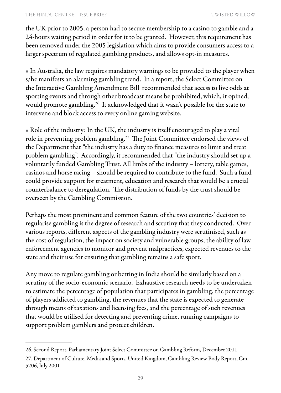#### THE HINDU CENTRE | ISSUE BRIEF TWO TWISTED WILLOW

the UK prior to 2005, a person had to secure membership to a casino to gamble and a 24-hours waiting period in order for it to be granted. However, this requirement has been removed under the 2005 legislation which aims to provide consumers access to a larger spectrum of regulated gambling products, and allows opt-in measures.

• In Australia, the law requires mandatory warnings to be provided to the player when s/he manifests an alarming gambling trend. In a report, the Select Committee on the Interactive Gambling Amendment Bill recommended that access to live odds at sporting events and through other broadcast means be prohibited, which, it opined, would promote gambling.<sup>26</sup> It acknowledged that it wasn't possible for the state to intervene and block access to every online gaming website.

• Role of the industry: In the UK, the industry is itself encouraged to play a vital role in preventing problem gambling.27 The Joint Committee endorsed the views of the Department that "the industry has a duty to finance measures to limit and treat problem gambling". Accordingly, it recommended that "the industry should set up a voluntarily funded Gambling Trust. All limbs of the industry – lottery, table games, casinos and horse racing – should be required to contribute to the fund. Such a fund could provide support for treatment, education and research that would be a crucial counterbalance to deregulation. The distribution of funds by the trust should be overseen by the Gambling Commission.

Perhaps the most prominent and common feature of the two countries' decision to regularise gambling is the degree of research and scrutiny that they conducted. Over various reports, different aspects of the gambling industry were scrutinised, such as the cost of regulation, the impact on society and vulnerable groups, the ability of law enforcement agencies to monitor and prevent malpractices, expected revenues to the state and their use for ensuring that gambling remains a safe sport.

Any move to regulate gambling or betting in India should be similarly based on a scrutiny of the socio-economic scenario. Exhaustive research needs to be undertaken to estimate the percentage of population that participates in gambling, the percentage of players addicted to gambling, the revenues that the state is expected to generate through means of taxations and licensing fees, and the percentage of such revenues that would be utilised for detecting and preventing crime, running campaigns to support problem gamblers and protect children.

<sup>26.</sup> Second Report, Parliamentary Joint Select Committee on Gambling Reform, December 2011 27. Department of Culture, Media and Sports, United Kingdom, Gambling Review Body Report, Cm. 5206, July 2001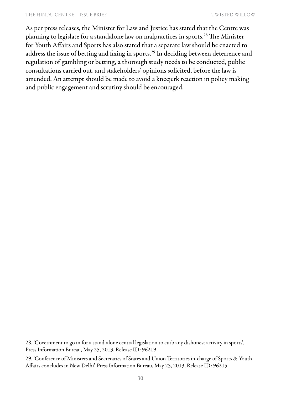#### THE HINDU CENTRE | ISSUE BRIEF TWO CONTROLLOW

As per press releases, the Minister for Law and Justice has stated that the Centre was planning to legislate for a standalone law on malpractices in sports.28 The Minister for Youth Affairs and Sports has also stated that a separate law should be enacted to address the issue of betting and fixing in sports.29 In deciding between deterrence and regulation of gambling or betting, a thorough study needs to be conducted, public consultations carried out, and stakeholders' opinions solicited, before the law is amended. An attempt should be made to avoid a kneejerk reaction in policy making and public engagement and scrutiny should be encouraged.

<sup>28. &#</sup>x27;Government to go in for a stand-alone central legislation to curb any dishonest activity in sports', Press Information Bureau, May 25, 2013, Release ID: 96219

<sup>29. &#</sup>x27;Conference of Ministers and Secretaries of States and Union Territories in-charge of Sports & Youth Affairs concludes in New Delhi', Press Information Bureau, May 25, 2013, Release ID: 96215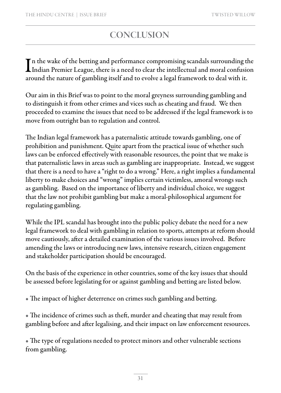### **CONCLUSION**

In the wake of the betting and performance compromising scandals surrounding the<br>Indian Premier League, there is a need to clear the intellectual and moral confusion The wake of the betting and performance compromising scandals surrounding the around the nature of gambling itself and to evolve a legal framework to deal with it.

Our aim in this Brief was to point to the moral greyness surrounding gambling and to distinguish it from other crimes and vices such as cheating and fraud. We then proceeded to examine the issues that need to be addressed if the legal framework is to move from outright ban to regulation and control.

The Indian legal framework has a paternalistic attitude towards gambling, one of prohibition and punishment. Quite apart from the practical issue of whether such laws can be enforced effectively with reasonable resources, the point that we make is that paternalistic laws in areas such as gambling are inappropriate. Instead, we suggest that there is a need to have a "right to do a wrong." Here, a right implies a fundamental liberty to make choices and "wrong" implies certain victimless, amoral wrongs such as gambling. Based on the importance of liberty and individual choice, we suggest that the law not prohibit gambling but make a moral-philosophical argument for regulating gambling.

While the IPL scandal has brought into the public policy debate the need for a new legal framework to deal with gambling in relation to sports, attempts at reform should move cautiously, after a detailed examination of the various issues involved. Before amending the laws or introducing new laws, intensive research, citizen engagement and stakeholder participation should be encouraged.

On the basis of the experience in other countries, some of the key issues that should be assessed before legislating for or against gambling and betting are listed below.

• The impact of higher deterrence on crimes such gambling and betting.

• The incidence of crimes such as theft, murder and cheating that may result from gambling before and after legalising, and their impact on law enforcement resources.

• The type of regulations needed to protect minors and other vulnerable sections from gambling.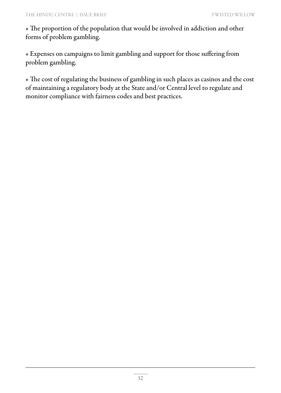• The proportion of the population that would be involved in addiction and other forms of problem gambling.

• Expenses on campaigns to limit gambling and support for those suffering from problem gambling.

• The cost of regulating the business of gambling in such places as casinos and the cost of maintaining a regulatory body at the State and/or Central level to regulate and monitor compliance with fairness codes and best practices.